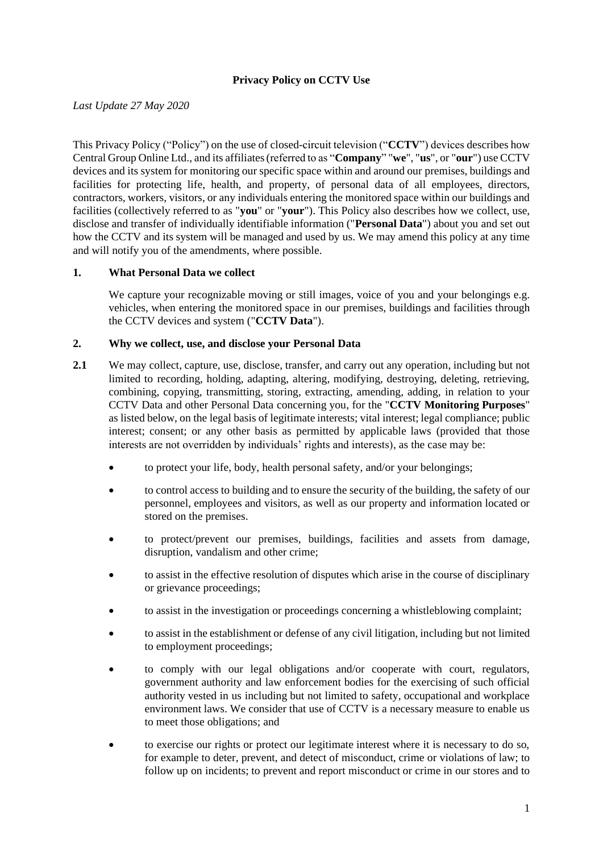### **Privacy Policy on CCTV Use**

*Last Update 27 May 2020*

This Privacy Policy ("Policy") on the use of closed-circuit television ("**CCTV**") devices describes how Central Group Online Ltd., and its affiliates(referred to as "**Company**" "**we**", "**us**", or "**our**") use CCTV devices and its system for monitoring our specific space within and around our premises, buildings and facilities for protecting life, health, and property, of personal data of all employees, directors, contractors, workers, visitors, or any individuals entering the monitored space within our buildings and facilities (collectively referred to as "**you**" or "**your**"). This Policy also describes how we collect, use, disclose and transfer of individually identifiable information ("**Personal Data**") about you and set out how the CCTV and its system will be managed and used by us. We may amend this policy at any time and will notify you of the amendments, where possible.

### **1. What Personal Data we collect**

We capture your recognizable moving or still images, voice of you and your belongings e.g. vehicles, when entering the monitored space in our premises, buildings and facilities through the CCTV devices and system ("**CCTV Data**").

### **2. Why we collect, use, and disclose your Personal Data**

- **2.1** We may collect, capture, use, disclose, transfer, and carry out any operation, including but not limited to recording, holding, adapting, altering, modifying, destroying, deleting, retrieving, combining, copying, transmitting, storing, extracting, amending, adding, in relation to your CCTV Data and other Personal Data concerning you, for the "**CCTV Monitoring Purposes**" as listed below, on the legal basis of legitimate interests; vital interest; legal compliance; public interest; consent; or any other basis as permitted by applicable laws (provided that those interests are not overridden by individuals' rights and interests), as the case may be:
	- to protect your life, body, health personal safety, and/or your belongings;
	- to control access to building and to ensure the security of the building, the safety of our personnel, employees and visitors, as well as our property and information located or stored on the premises.
	- to protect/prevent our premises, buildings, facilities and assets from damage, disruption, vandalism and other crime;
	- to assist in the effective resolution of disputes which arise in the course of disciplinary or grievance proceedings;
	- to assist in the investigation or proceedings concerning a whistleblowing complaint;
	- to assist in the establishment or defense of any civil litigation, including but not limited to employment proceedings;
	- to comply with our legal obligations and/or cooperate with court, regulators, government authority and law enforcement bodies for the exercising of such official authority vested in us including but not limited to safety, occupational and workplace environment laws. We consider that use of CCTV is a necessary measure to enable us to meet those obligations; and
	- to exercise our rights or protect our legitimate interest where it is necessary to do so, for example to deter, prevent, and detect of misconduct, crime or violations of law; to follow up on incidents; to prevent and report misconduct or crime in our stores and to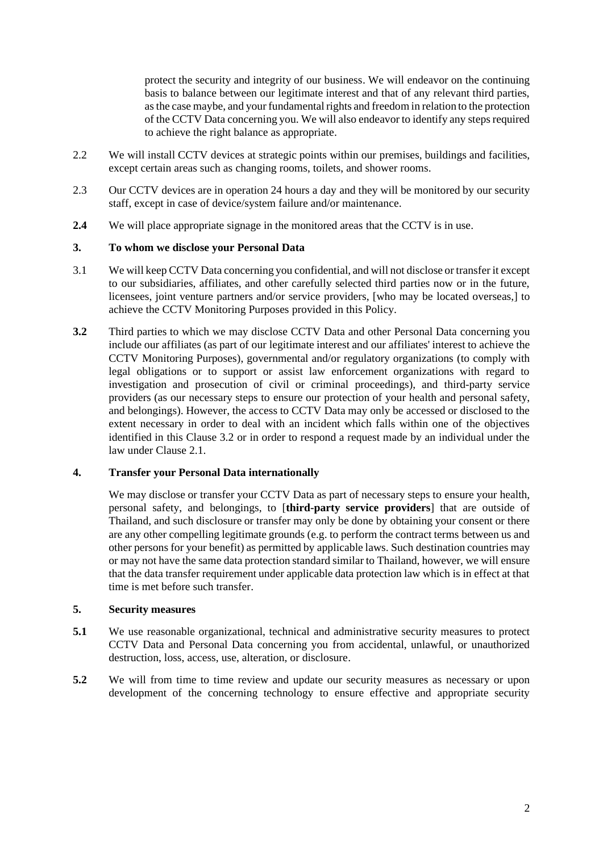protect the security and integrity of our business. We will endeavor on the continuing basis to balance between our legitimate interest and that of any relevant third parties, as the case maybe, and your fundamental rights and freedom in relation to the protection of the CCTV Data concerning you. We will also endeavor to identify any steps required to achieve the right balance as appropriate.

- 2.2 We will install CCTV devices at strategic points within our premises, buildings and facilities, except certain areas such as changing rooms, toilets, and shower rooms.
- 2.3 Our CCTV devices are in operation 24 hours a day and they will be monitored by our security staff, except in case of device/system failure and/or maintenance.
- **2.4** We will place appropriate signage in the monitored areas that the CCTV is in use.

### **3. To whom we disclose your Personal Data**

- 3.1 We will keep CCTV Data concerning you confidential, and will not disclose or transfer it except to our subsidiaries, affiliates, and other carefully selected third parties now or in the future, licensees, joint venture partners and/or service providers, [who may be located overseas,] to achieve the CCTV Monitoring Purposes provided in this Policy.
- **3.2** Third parties to which we may disclose CCTV Data and other Personal Data concerning you include our affiliates (as part of our legitimate interest and our affiliates' interest to achieve the CCTV Monitoring Purposes), governmental and/or regulatory organizations (to comply with legal obligations or to support or assist law enforcement organizations with regard to investigation and prosecution of civil or criminal proceedings), and third-party service providers (as our necessary steps to ensure our protection of your health and personal safety, and belongings). However, the access to CCTV Data may only be accessed or disclosed to the extent necessary in order to deal with an incident which falls within one of the objectives identified in this Clause 3.2 or in order to respond a request made by an individual under the law under Clause 2.1.

### **4. Transfer your Personal Data internationally**

We may disclose or transfer your CCTV Data as part of necessary steps to ensure your health, personal safety, and belongings, to [**third-party service providers**] that are outside of Thailand, and such disclosure or transfer may only be done by obtaining your consent or there are any other compelling legitimate grounds (e.g. to perform the contract terms between us and other persons for your benefit) as permitted by applicable laws. Such destination countries may or may not have the same data protection standard similar to Thailand, however, we will ensure that the data transfer requirement under applicable data protection law which is in effect at that time is met before such transfer.

#### **5. Security measures**

- **5.1** We use reasonable organizational, technical and administrative security measures to protect CCTV Data and Personal Data concerning you from accidental, unlawful, or unauthorized destruction, loss, access, use, alteration, or disclosure.
- **5.2** We will from time to time review and update our security measures as necessary or upon development of the concerning technology to ensure effective and appropriate security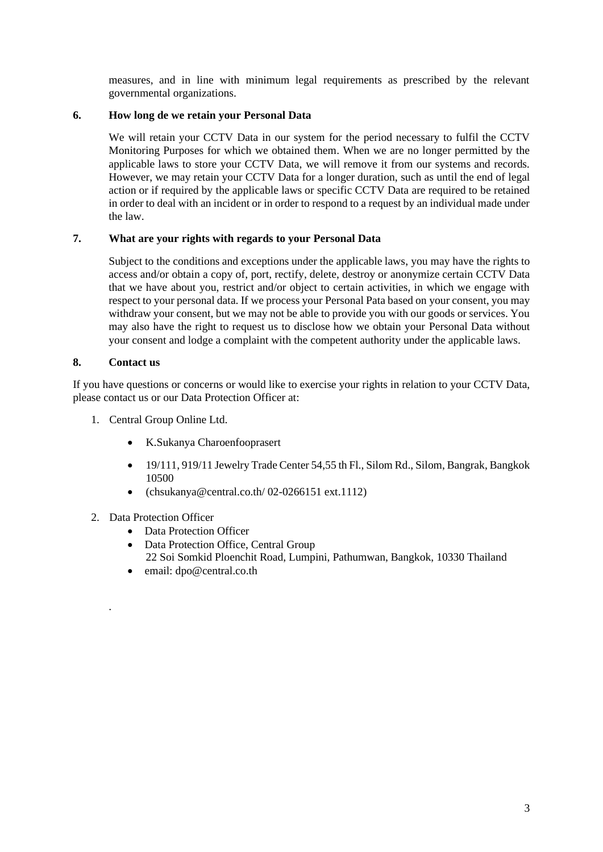measures, and in line with minimum legal requirements as prescribed by the relevant governmental organizations.

### **6. How long de we retain your Personal Data**

We will retain your CCTV Data in our system for the period necessary to fulfil the CCTV Monitoring Purposes for which we obtained them. When we are no longer permitted by the applicable laws to store your CCTV Data, we will remove it from our systems and records. However, we may retain your CCTV Data for a longer duration, such as until the end of legal action or if required by the applicable laws or specific CCTV Data are required to be retained in order to deal with an incident or in order to respond to a request by an individual made under the law.

### **7. What are your rights with regards to your Personal Data**

Subject to the conditions and exceptions under the applicable laws, you may have the rights to access and/or obtain a copy of, port, rectify, delete, destroy or anonymize certain CCTV Data that we have about you, restrict and/or object to certain activities, in which we engage with respect to your personal data. If we process your Personal Pata based on your consent, you may withdraw your consent, but we may not be able to provide you with our goods or services. You may also have the right to request us to disclose how we obtain your Personal Data without your consent and lodge a complaint with the competent authority under the applicable laws.

### **8. Contact us**

.

If you have questions or concerns or would like to exercise your rights in relation to your CCTV Data, please contact us or our Data Protection Officer at:

- 1. Central Group Online Ltd.
	- K.Sukanya Charoenfooprasert
	- 19/111, 919/11 Jewelry Trade Center 54,55 th Fl., Silom Rd., Silom, Bangrak, Bangkok 10500
	- (chsukanya@central.co.th/02-0266151 ext.1112)
- 2. Data Protection Officer
	- Data Protection Officer
	- Data Protection Office, Central Group 22 Soi Somkid Ploenchit Road, Lumpini, Pathumwan, Bangkok, 10330 Thailand
	- email: dpo@central.co.th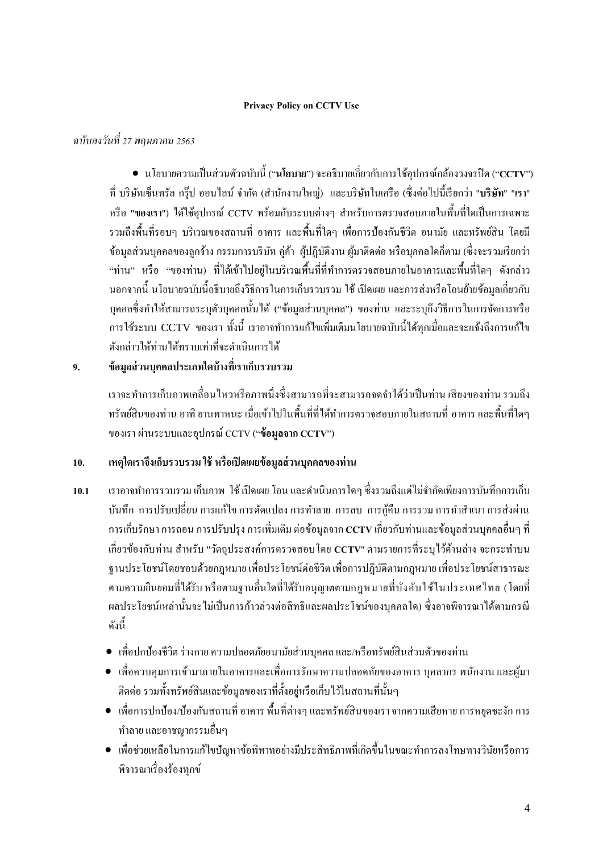### **Privacy Policy on CCTV Use**

## *ฉบับลงวันที่ 27 พฤษภาคม 2563*

• นโยบายความเป็นส่วนตวัฉบบั น้ี("**นโยบาย**")จะอธิบายเกี่ยวกับการใช้อุปกรณ์กล้องวงจรปิ ด ("**CCTV**") ที่ บริษัทเซ็นทรัล กรุ๊ป ออนไลน์จ ากัด (ส านักงานใหญ่) และบริษัทในเครือ (ซ่ึงต่อไปน้ีเรียกว่า "**บริษัท**" "**เรา**" หรือ "ของเรา") ได้ใช้อุปกรณ์ CCTV พร้อมกับระบบต่างๆ สำหรับการตรวจสอบภายในพื้นที่ใดเป็นการเฉพาะ รวมถึงพ้ืนที่รอบๆ บริเวณของสถานที่ อาคาร และพ้ืนที่ใดๆ เพื่อการป้องกันชีวิต อนามัย และทรัพย์สิน โดยมี ู้ข้อมูลส่วนบุคคลของลูกจ้าง กรรมการบริษัท คู่ค้า ผู้ปฏิบัติงาน ผู้มาติดต่อ หรือบุคคลใดก็ตาม (ซึ่งจะรวมเรียกว่า "ท่าน" หรือ "ของท่าน) ที่ได้เข้าไปอย่ในบริเวณพื้นที่ที่ทำการตรวจสอบภายในอาคารและพื้นที่ใดๆ ดังกล่าว นอกจากนี้ นโยบายฉบับนี้อธิบายถึงวิธีการในการเก็บรวบรวม ใช้ เปิดเผย และการส่งหรือโอนย้ายข้อมูลเกี่ยวกับ บุคคลซึ่งทำให้สามารถระบุตัวบุคคลนั้นได้ ("ข้อมูลส่วนบุคคล") ของท่าน และระบุถึงวิธีการในการจัดการหรือ การใช้ระบบ CCTV ของเรา ทั้งนี้ เราอาจทำการแก้ไขเพิ่มเติมนโยบายฉบับนี้ได้ทกเมื่อและจะแจ้งถึงการแก้ไข ดังกล่าวให้ท่านได้ทราบเท่าที่จะด าเนินการได้

# **9. ข้อมูลส่วนบุคคลประเภทใดบ้างที่เราเก็บรวบรวม**

เราจะทำการเก็บภาพเคลื่อนไหวหรือภาพนิ่งซึ่งสามารถที่จะสามารถจดจำได้ว่าเป็นท่าน เสียงของท่าน รวมถึง ทรัพย์สินของท่าน อาทิ ยานพาหนะ เมื่อเขา้ไปในพ้ืนที่ที่ได้ท าการตรวจสอบภายในสถานที่ อาคาร และพ้ืนที่ใดๆ ของเรา ผ่านระบบและอุปกรณ์CCTV ("**ข้อมูลจาก CCTV**")

## **10. เหตุใดเราจึงเก็บรวบรวม ใช้หรือเปิดเผยข้อมูลส่วนบุคคลของท่าน**

- **10.1** เราอาจท าการรวบรวม เก็บภาพ ใช้ เปิ ดเผย โอน และด าเนินการใดๆ ซึ่งรวมถึงแต่ไม่จ ากัดเพียงการบันทึกการเก็บ บันทึก การปรับเปลี่ยน การแก้ไข การดัดแปลง การทำลาย การลบ การกู้คืน การรวม การทำสำเนา การส่งผ่าน การเก็บรักษา การถอน การปรับปรุง การเพิ่มเติม ต่อข้อมูลจาก **CCTV** เกี่ยวกับท่านและข้อมูลส่วนบุคคลอื่นๆ ที่ เกี่ยวข้องกับท่าน สำหรับ "วัตถุประสงค์การตรวจสอบโดย **CCTV**" ตามรายการที่ระบ<sup>ู</sup>่ไว้ด้านล่าง จะกระทำบน ฐานประโยชน์โดยชอบด้วยกฎหมายเพื่อประโยชน์ต่อชีวิต เพื่อการปฏิบัติตามกฎหมาย เพื่อประโยชน์สาธารณะ ตามความยินยอมที่ได้รับ หรือตามฐานอื่นใดที่ได้รับอนุญาตตามกฎหมายที่บังคับใช้ในประเทศไทย (โดยที่ ผลประโยชน์เหล่านั้นจะไม่เป็นการก้าวล่วงต่อสิทธิและผลประโชน์ของบุคคลใด) ซึ่งอาจพิจารณาได้ตามกรณี ดงัน้ี
	- เพื่อปกป้องชีวิต ร่างกาย ความปลอดภัยอนามัยส่วนบุคคลและ/หรือทรัพย์สินส่วนตัวของท่าน
	- เพื่อควบคุมการเข้ามาภายในอาคารและเพื่อการรักษาความปลอดภัยของอาคาร บุคลากร พนักงาน และผู้มา ติดต่อ รวมทั้งทรัพย์สินและข้อมูลของเราที่ตั้งอยู่หรือเก็บไว้ในสถานที่นั้นๆ
	- เพื่อการปกป้อง/ป้องกันสถานที่อาคาร พ้ืนที่ต่างๆ และทรัพย์สินของเรา จากความเสียหายการหยุดชะงัก การ ท าลายและอาชญากรรมอื่นๆ
	- เพื่อช่วยเหลือในการแก้ไขปัญหาข้อพิพาทอย่างมีประสิทธิภาพที่เกิดขึ้นในขณะทำการลงโทษทางวินัยหรือการ พิจารณาเรื่องร้องทุกข์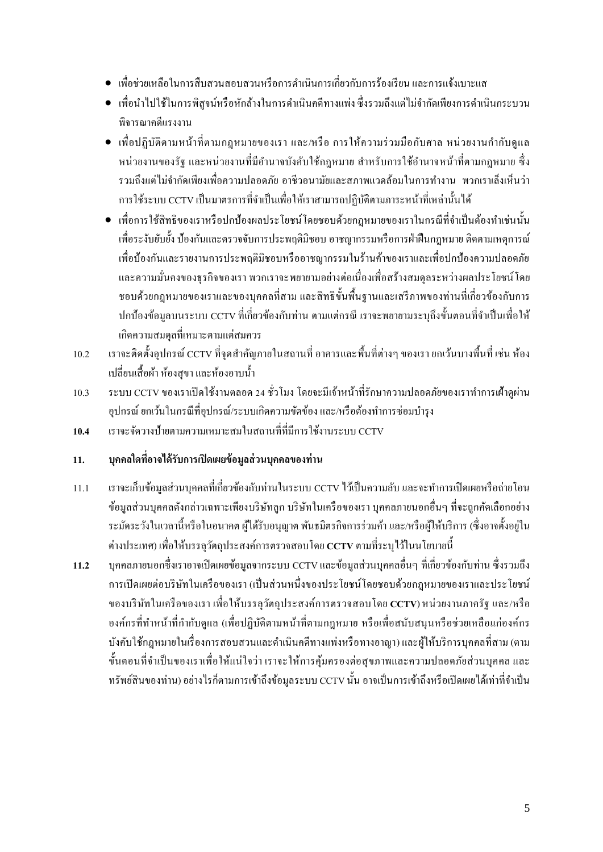- เพื่อช่วยเหลือในการสืบสวนสอบสวนหรือการด าเนินการเกี่ยวกับการร้องเรียน และการแจ้งเบาะแส
- เพื่อนำไปใช้ในการพิสูจน์หรือหักล้างในการดำเนินคดีทางแพ่ง ซึ่งรวมถึงแต่ไม่จำกัดเพียงการดำเนินกระบวน พิจารณาคดีแรงงาน
- เพื่อปฏิบัติตามหน้าที่ตามกฎหมายของเรา และ/หรือ การให้ความร่วมมือกับศาล หน่วยงานกำกับดูแล หน่วยงานของรัฐ และหน่วยงานที่มีอำนาจบังคับใช้กฎหมาย สำหรับการใช้อำนาจหน้าที่ตามกฎหมาย ซึ่ง รวมถึงแต่ไม่จำกัดเพียงเพื่อความปลอดภัย อาชีวอนามัยและสภาพแวดล้อมในการทำงาน พวกเราเล็งเห็นว่า การใช้ระบบ CCTV เป็นมาตรการที่จา เป็นเพื่อให้เราสามารถปฏิบตัิตามภาระหนา้ที่เหล่าน้นั ได้
- เพื่อการใช้สิทธิของเราหรือปกป้องผลประโยชน์โดยชอบด้วยกฎหมายของเราในกรณีที่จำเป็นต้องทำเช่นนั้น เพื่อระงับยบัย้งั ป้องกันและตรวจจับการประพฤติมิชอบ อาชญากรรมหรือการฝ่ าฝื นกฎหมาย ติดตามเหตุการณ์ เพื่อป้องกันและรายงานการประพฤติมิชอบหรืออาชญากรรมในร้านค้าของเราและเพื่อปกป้องความปลอดภัย และความมนั่ คงของธุรกิจของเรา พวกเราจะพยายามอย่างต่อเนื่องเพื่อสร้างสมดุลระหว่างผลประโยชน์โดย ี ชอบด้วยกฎหมายของเราและของบุคคลที่สาม และสิทธิขั้นพื้นฐานและเสรีภาพของท่านที่เกี่ยวข้องกับการ ปกป้องข้อมูลบนระบบ CCTV ที่เกี่ยวข้องกับท่าน ตามแต่กรณี เราจะพยายามระบุถึงขั้นตอนที่จำเป็นเพื่อให้ เกิดความสมดุลที่เหมาะตามแต่สมควร
- 10.2 เราจะติดตั้งอุปกรณ์ CCTV ที่จุดสำคัญภายในสถานที่ อาคารและพื้นที่ต่างๆ ของเรา ยกเว้นบางพื้นที่ เช่น ห้อง เปลี่ยนเส้ือผา้ ห้องสุขาและห้องอาบน้า
- 10.3 ระบบ CCTV ของเราเปิดใช้งานตลอด 24 ชั่วโมง โดยจะมีเจ้าหน้าที่รักษาความปลอดภัยของเราทำการเฝ้าดูผ่าน อุปกรณ์ ยกเว้นในกรณีที่อุปกรณ์/ระบบเกิดความขัดข้อง และ/หรือต้องทำการซ่อมบำรุง
- **10.4** เราจะจัดวางป้ายตามความเหมาะสมในสถานที่ที่มีการใช้งานระบบ CCTV

## **11. บุคคลใดที่อาจได้รับการเปิดเผยข้อมูลส่วนบุคคลของท่าน**

- 11.1 เราจะเก็บข้อมูลส่วนบุคคลที่เกี่ยวข้องกับท่านในระบบ CCTV ไว้เป็ นความลับ และจะท าการเปิ ดเผยหรือถ่ายโอน ข้อมูลส่วนบุคคลดังกล่าวเฉพาะเพียงบริษัทลูก บริษัทในเครือของเรา บุคคลภายนอกอื่นๆ ที่จะถูกคัดเลือกอย่าง ระมัคระวังในเวลานี้หรือในอนาคต ผู้ได้รับอนุญาต พันธมิตรกิจการร่วมค้า และ/หรือผู้ให้บริการ (ซึ่งอาจตั้งอยู่ใน ต่างประเทศ) เพื่อให้บรรลุวัตถุประสงค์การตรวจสอบโดย **CCTV** ตามที่ระบุไวใ้นนโยบายน้ี
- **11.2** บุคคลภายนอกซึ่งเราอาจเปิ ดเผยข้อมูลจากระบบ CCTV และข้อมูลส่วนบุคคลอื่นๆ ที่เกี่ยวข้องกับท่าน ซึ่งรวมถึง การเปิ ดเผยต่อบริษัทในเครือของเรา (เป็ นส่วนหนึ่งของประโยชน์โดยชอบด้วยกฎหมายของเราและประโยชน์ ของบริษัทในเครือของเรา เพื่อให้บรรลุวัตถุประสงค์การตรวจสอบโดย **CCTV**) หน่วยงานภาครัฐ และ/หรือ ้องค์กรที่ทำหน้าที่กำกับดูแล (เพื่อปฏิบัติตามหน้าที่ตามกฎหมาย หรือเพื่อสนับสนุนหรือช่วยเหลือแก่องค์กร ้ บังคับใช้กฎหมายในเรื่องการสอบสวนและดำเนินคดีทางแพ่งหรือทางอาญา) และผู้ให้บริการบุคคลที่สาม (ตาม ข้นั ตอนที่จา เป็นของเราเพื่อให้แน่ใจว่า เราจะให้การคุ้มครองต่อสุขภาพและความปลอดภัยส่วนบุคคล และ ทรัพย์สินของท่าน) อย่างไรก็ตามการเข้าถึงข้อมูลระบบ CCTV นั้น อาจเป็นการเข้าถึงหรือเปิดเผยได้เท่าที่จำเป็น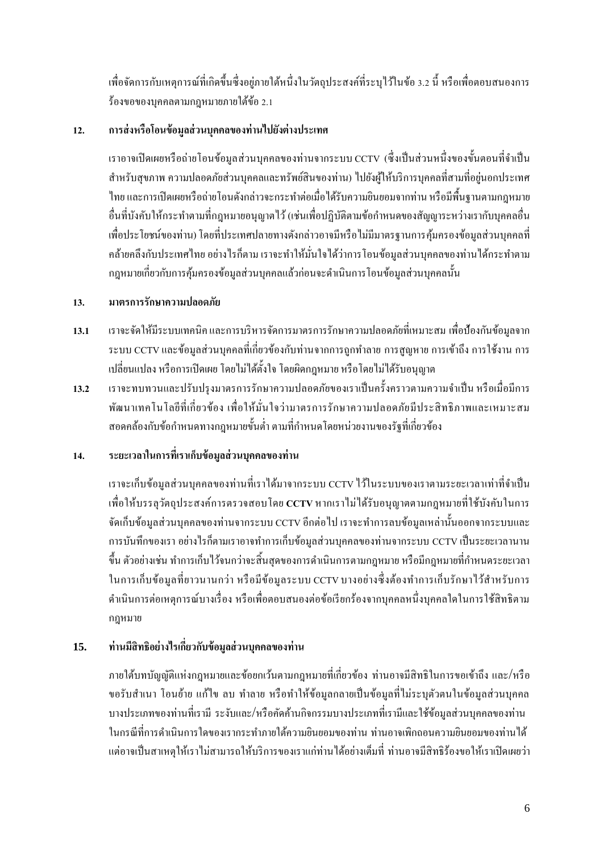เพื่อจัดการกับเหตุการณ์ที่เกิดขึ้นซึ่งอยู่ภายใต้หนึ่งในวัตถุประสงค์ที่ระบุไว้ในข้อ 3.2 นี้ หรือเพื่อตอบสนองการ ร้องขอของบุคคลตามกฎหมายภายใต้ข้อ2.1

## **12. การส่งหรือโอนข้อมูลส่วนบุคคลของท่านไปยังต่างประเทศ**

เราอาจเปิดเผยหรือถ่ายโอนข้อมูลส่วนบุคคลของท่านจากระบบ CCTV (ซึ่งเป็นส่วนหนึ่งของขั้นตอนที่จำเป็น ส าหรับสุขภาพ ความปลอดภัยส่วนบุคคลและทรัพย์สินของท่าน) ไปยังผู้ให้บริการบุคคลที่สามที่อยู่นอกประเทศ ไทยและการเปิ ดเผยหรือถ่ายโอนดังกล่าวจะกระท าต่อเมื่อได้รับความยินยอมจากท่าน หรือมีพ้ืนฐานตามกฎหมาย อื่นที่บังคับให้กระทำตามที่กฎหมายอนุญาตไว้ (เช่นเพื่อปฏิบัติตามข้อกำหนดของสัญญาระหว่างเรากับบุคคลอื่น เพื่อประโยชน์ของท่าน) โดยที่ประเทศปลายทางดังกล่าวอาจมีหรือไม่มีมาตรฐานการคุ้มครองข้อมูลส่วนบุคคลที่ คล้ายคลึงกับประเทศไทย อย่างไรก็ตาม เราจะทำให้มั่นใจได้ว่าการโอนข้อมูลส่วนบุคคลของท่านได้กระทำตาม ึกฎหมายเกี่ยวกับการค้มครองข้อมูลส่วนบุคคลแล้วก่อนจะดำเนินการโอนข้อมูลส่วนบุคคลนั้น

## **13. มาตรการรักษาความปลอดภัย**

- **13.1** เราจะจัดให้มีระบบเทคนิค และการบริหารจัดการมาตรการรักษาความปลอดภัยที่เหมาะสม เพื่อป้องกันข้อมูลจาก ระบบ CCTV และข้อมูลส่วนบุคคลที่เกี่ยวข้องกับท่านจากการถูกทำลาย การสูญหาย การเข้าถึง การใช้งาน การ เปลี่ยนแปลง หรือการเปิ ดเผยโดยไม่ไดต้้งัใจโดยผิดกฎหมาย หรือโดยไม่ได้รับอนุญาต
- **13.2** เราจะทบทวนและปรับปรุงมาตรการรักษาความปลอดภยัของเราเป็นคร้ังคราวตามความจา เป็น หรือเมื่อมีการ พัฒนาเทคโนโลยีที่เกี่ยวข้อง เพื่อให้มั่นใจว่ามาตรการรักษาความปลอดภัยมีประสิทธิภาพและเหมาะสม ี สอดคล้องกับข้อกำหนดทางกฎหมายขั้นต่ำ ตามที่กำหนดโดยหน่วยงานของรัฐที่เกี่ยวข้อง

# **14. ระยะเวลาในการที่เราเก็บข้อมูลส่วนบุคคลของท่าน**

เราจะเก็บข้อมูลส่วนบุคคลของท่านที่เราได้มาจากระบบ CCTV ไว้ในระบบของเราตามระยะเวลาเท่าที่จำเป็น เพื่อให้บรรลุวัตถุประสงค์การตรวจสอบโดย **CCTV** หากเราไม่ได้รับอนุญาตตามกฎหมายที่ใช้บังคับในการ จัดเก็บข้อมูลส่วนบุคคลของท่านจากระบบ CCTV อีกต่อไป เราจะทำการลบข้อมูลเหล่านั้นออกจากระบบและ การบันทึกของเรา อย่างไรก็ตามเราอาจทำการเก็บข้อมูลส่วนบุคคลของท่านจากระบบ CCTV เป็นระยะเวลานาน ่ ขึ้น ตัวอย่างเช่น ทำการเก็บไว้จนกว่าจะสิ้นสุดของการคำเนินการตามกฎหมาย หรือมีกฎหมายที่กำหนดระยะเวลา ในการเก็บข้อมูลที่ยาวนานกว่า หรือมีข้อมูลระบบ CCTV บางอย่างซึ่งต้องทำการเก็บรักษาไว้สำหรับการ ดำเนินการต่อเหตุการณ์บางเรื่อง หรือเพื่อตอบสนองต่อข้อเรียกร้องจากบุคคลหนึ่งบุคคลใดในการใช้สิทธิตาม กฎหมาย

## **15. ท่านมีสิทธิอย่างไรเกี่ยวกับข้อมูลส่วนบุคคลของท่าน**

ภายใต้บทบัญญัติแห่งกฎหมายและข้อยกเว้นตามกฎหมายที่เกี่ยวข้อง ท่านอาจมีสิทธิในการขอเข้าถึง และ /หรือ ึ ขอรับสำเนา โอนย้าย แก้ไข ลบ ทำลาย หรือทำให้ข้อมูลกลายเป็นข้อมูลที่ไม่ระบุตัวตนในข้อมูลส่วนบุคคล บางประเภทของท่านที่เรามี ระงับและ/หรือคัดค้านกิจกรรมบางประเภทที่เรามีและใช้ข้อมูลส่วนบุคคลของท่าน ในกรณีที่การดำเนินการใดของเรากระทำภายใต้ความยินยอมของท่าน ท่านอาจเพิกถอนความยินยอมของท่านได้ แต่อาจเป็นสาเหตุให้เราไม่สามารถให้บริการของเราแก่ท่านได้อย่างเต็มที่ ท่านอาจมีสิทธิร้องขอให้เราเปิดเผยว่า